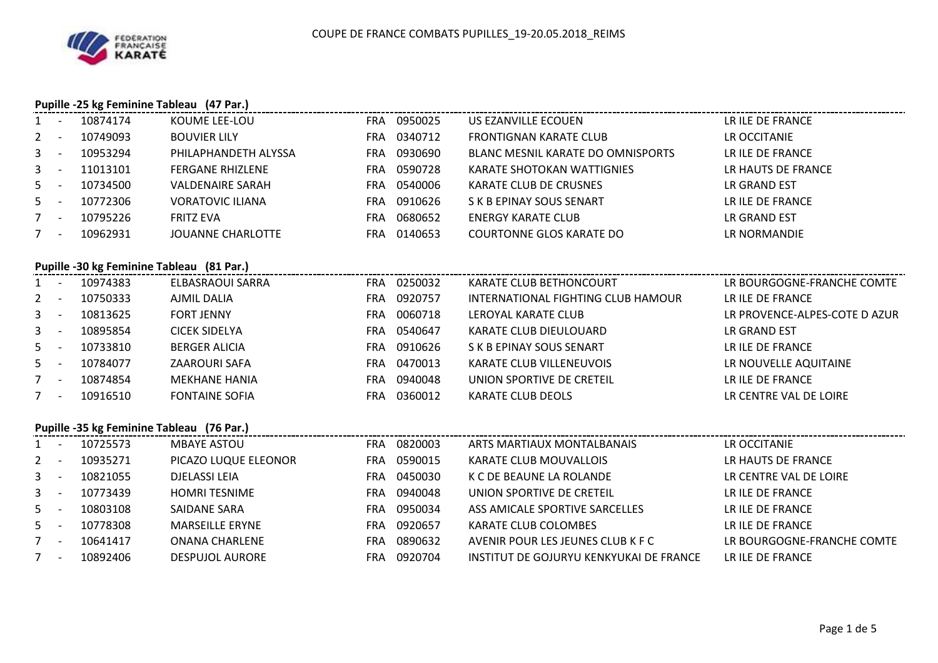

|             | Pupille -25 kg Feminine Tableau (47 Par.) |          |                                           |     |             |                                         |                               |  |  |  |  |
|-------------|-------------------------------------------|----------|-------------------------------------------|-----|-------------|-----------------------------------------|-------------------------------|--|--|--|--|
|             | $1 -$                                     | 10874174 | KOUME LEE-LOU                             |     | FRA 0950025 | US EZANVILLE ECOUEN                     | LR ILE DE FRANCE              |  |  |  |  |
| $2^{\circ}$ | $\sim$ $-$                                | 10749093 | <b>BOUVIER LILY</b>                       |     | FRA 0340712 | <b>FRONTIGNAN KARATE CLUB</b>           | LR OCCITANIE                  |  |  |  |  |
| 3           | $\sim$ $-$                                | 10953294 | PHILAPHANDETH ALYSSA                      |     | FRA 0930690 | BLANC MESNIL KARATE DO OMNISPORTS       | LR ILE DE FRANCE              |  |  |  |  |
| 3           | $\sim$ $-$                                | 11013101 | <b>FERGANE RHIZLENE</b>                   |     | FRA 0590728 | KARATE SHOTOKAN WATTIGNIES              | LR HAUTS DE FRANCE            |  |  |  |  |
| 5           | $\sim$                                    | 10734500 | <b>VALDENAIRE SARAH</b>                   |     | FRA 0540006 | KARATE CLUB DE CRUSNES                  | LR GRAND EST                  |  |  |  |  |
| 5           | $\sim$ $-$                                | 10772306 | <b>VORATOVIC ILIANA</b>                   | FRA | 0910626     | S K B EPINAY SOUS SENART                | LR ILE DE FRANCE              |  |  |  |  |
|             | $7 -$                                     | 10795226 | <b>FRITZ EVA</b>                          |     | FRA 0680652 | <b>ENERGY KARATE CLUB</b>               | LR GRAND EST                  |  |  |  |  |
| $7 -$       |                                           | 10962931 | <b>JOUANNE CHARLOTTE</b>                  |     | FRA 0140653 | <b>COURTONNE GLOS KARATE DO</b>         | LR NORMANDIE                  |  |  |  |  |
|             |                                           |          | Pupille -30 kg Feminine Tableau (81 Par.) |     |             |                                         |                               |  |  |  |  |
|             | $1 -$                                     | 10974383 | ELBASRAOUI SARRA                          |     | FRA 0250032 | KARATE CLUB BETHONCOURT                 | LR BOURGOGNE-FRANCHE COMTE    |  |  |  |  |
| $2 -$       |                                           | 10750333 | <b>AJMIL DALIA</b>                        |     | FRA 0920757 | INTERNATIONAL FIGHTING CLUB HAMOUR      | LR ILE DE FRANCE              |  |  |  |  |
| 3           | $\sim$ $-$                                | 10813625 | <b>FORT JENNY</b>                         |     | FRA 0060718 | LEROYAL KARATE CLUB                     | LR PROVENCE-ALPES-COTE D AZUR |  |  |  |  |
| 3           | $\sim$ $-$                                | 10895854 | <b>CICEK SIDELYA</b>                      |     | FRA 0540647 | KARATE CLUB DIEULOUARD                  | LR GRAND EST                  |  |  |  |  |
| 5           | $\sim$                                    | 10733810 | <b>BERGER ALICIA</b>                      |     | FRA 0910626 | S K B EPINAY SOUS SENART                | LR ILE DE FRANCE              |  |  |  |  |
| 5           | $\sim$ $-$                                | 10784077 | ZAAROURI SAFA                             |     | FRA 0470013 | KARATE CLUB VILLENEUVOIS                | LR NOUVELLE AQUITAINE         |  |  |  |  |
| $7 -$       |                                           | 10874854 | <b>MEKHANE HANIA</b>                      |     | FRA 0940048 | UNION SPORTIVE DE CRETEIL               | LR ILE DE FRANCE              |  |  |  |  |
| $7 -$       |                                           | 10916510 | <b>FONTAINE SOFIA</b>                     | FRA | 0360012     | <b>KARATE CLUB DEOLS</b>                | LR CENTRE VAL DE LOIRE        |  |  |  |  |
|             |                                           |          | Pupille -35 kg Feminine Tableau (76 Par.) |     |             |                                         |                               |  |  |  |  |
|             | $1 -$                                     | 10725573 | <b>MBAYE ASTOU</b>                        |     | FRA 0820003 | ARTS MARTIAUX MONTALBANAIS              | LR OCCITANIE                  |  |  |  |  |
| $2^{\circ}$ | $\sim$ $-$                                | 10935271 | PICAZO LUQUE ELEONOR                      |     | FRA 0590015 | KARATE CLUB MOUVALLOIS                  | LR HAUTS DE FRANCE            |  |  |  |  |
| 3           | $\sim$ $-$                                | 10821055 | <b>DJELASSI LEIA</b>                      |     | FRA 0450030 | K C DE BEAUNE LA ROLANDE                | LR CENTRE VAL DE LOIRE        |  |  |  |  |
| 3           | $\sim$ $-$                                | 10773439 | <b>HOMRI TESNIME</b>                      |     | FRA 0940048 | UNION SPORTIVE DE CRETEIL               | LR ILE DE FRANCE              |  |  |  |  |
| 5           | $\sim$                                    | 10803108 | SAIDANE SARA                              | FRA | 0950034     | ASS AMICALE SPORTIVE SARCELLES          | LR ILE DE FRANCE              |  |  |  |  |
| 5           | $\sim$ $-$                                | 10778308 | <b>MARSEILLE ERYNE</b>                    |     | FRA 0920657 | KARATE CLUB COLOMBES                    | LR ILE DE FRANCE              |  |  |  |  |
| $7 -$       |                                           | 10641417 | <b>ONANA CHARLENE</b>                     |     | FRA 0890632 | AVENIR POUR LES JEUNES CLUB K F C       | LR BOURGOGNE-FRANCHE COMTE    |  |  |  |  |
|             | $7 -$                                     | 10892406 | <b>DESPUJOL AURORE</b>                    |     | FRA 0920704 | INSTITUT DE GOJURYU KENKYUKAI DE FRANCE | LR ILE DE FRANCE              |  |  |  |  |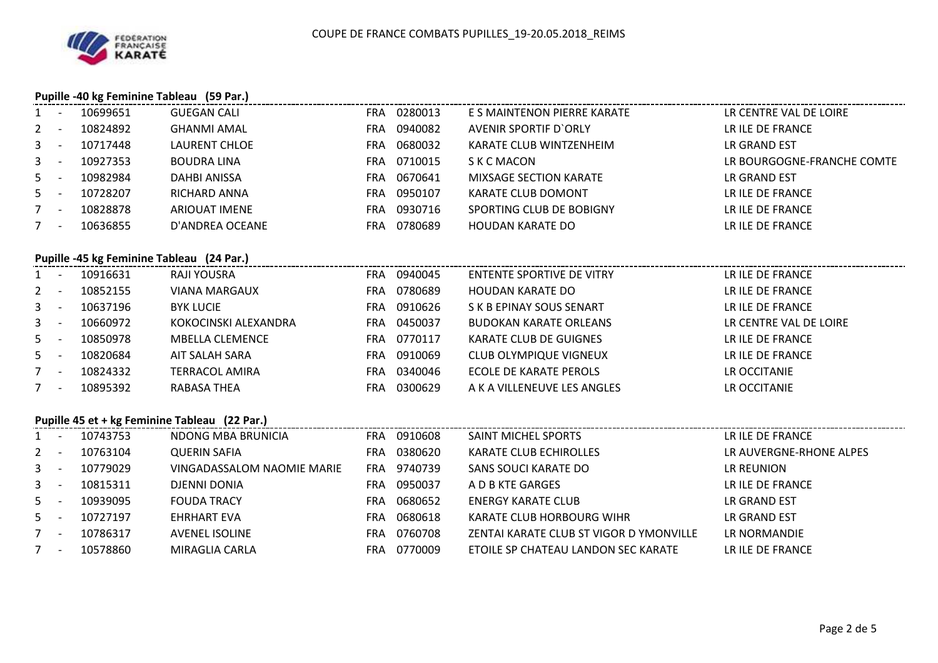### **Pupille -40 kg Feminine Tableau (59 Par.)**

|         | $\overline{\phantom{a}}$ | 10699651 | <b>GUEGAN CALI</b>   | <b>FRA</b> | 0280013 | E S MAINTENON PIERRE KARATE   | LR CENTRE VAL DE LOIRE     |
|---------|--------------------------|----------|----------------------|------------|---------|-------------------------------|----------------------------|
| $2 -$   |                          | 10824892 | <b>GHANMI AMAL</b>   | FRA        | 0940082 | AVENIR SPORTIF D'ORLY         | LR ILE DE FRANCE           |
| $3 - 1$ |                          | 10717448 | LAURENT CHLOE        | FRA        | 0680032 | KARATE CLUB WINTZENHEIM       | LR GRAND EST               |
| $3 - 1$ |                          | 10927353 | <b>BOUDRA LINA</b>   | FRA        | 0710015 | S K C MACON                   | LR BOURGOGNE-FRANCHE COMTE |
| $5 -$   |                          | 10982984 | <b>DAHBI ANISSA</b>  | <b>FRA</b> | 0670641 | <b>MIXSAGE SECTION KARATE</b> | LR GRAND EST               |
| $5 -$   |                          | 10728207 | RICHARD ANNA         | FRA        | 0950107 | KARATE CLUB DOMONT            | LR ILE DE FRANCE           |
|         |                          | 10828878 | <b>ARIOUAT IMENE</b> | FRA        | 0930716 | SPORTING CLUB DE BOBIGNY      | LR ILE DE FRANCE           |
| $7 -$   |                          | 10636855 | D'ANDREA OCEANE      | FRA        | 0780689 | <b>HOUDAN KARATE DO</b>       | LR ILE DE FRANCE           |
|         |                          |          |                      |            |         |                               |                            |

### **Pupille -45 kg Feminine Tableau (24 Par.)**

| $1 -$   | 10916631 | RAJI YOUSRA            | <b>FRA</b> | 0940045     | ENTENTE SPORTIVE DE VITRY     | LR ILE DE FRANCE       |
|---------|----------|------------------------|------------|-------------|-------------------------------|------------------------|
| $2 -$   | 10852155 | <b>VIANA MARGAUX</b>   | FRA.       | 0780689     | HOUDAN KARATE DO              | LR ILE DE FRANCE       |
| $3 - 1$ | 10637196 | <b>BYK LUCIE</b>       | <b>FRA</b> | 0910626     | S K B EPINAY SOUS SENART      | LR ILE DE FRANCE       |
| $3 - 1$ | 10660972 | KOKOCINSKI ALEXANDRA   |            | FRA 0450037 | <b>BUDOKAN KARATE ORLEANS</b> | LR CENTRE VAL DE LOIRE |
| $5 -$   | 10850978 | <b>MBELLA CLEMENCE</b> | FRA        | 0770117     | KARATE CLUB DE GUIGNES        | LR ILE DE FRANCE       |
| $5 -$   | 10820684 | AIT SALAH SARA         | FRA.       | 0910069     | <b>CLUB OLYMPIQUE VIGNEUX</b> | LR ILE DE FRANCE       |
| $7 -$   | 10824332 | <b>TERRACOL AMIRA</b>  | FRA.       | 0340046     | ECOLE DE KARATE PEROLS        | LR OCCITANIE           |
| $7 -$   | 10895392 | RABASA THEA            | FRA        | 0300629     | A K A VILLENEUVE LES ANGLES   | LR OCCITANIE           |
|         |          |                        |            |             |                               |                        |

### **Pupille 45 et + kg Feminine Tableau (22 Par.)**

| $1 -$   | 10743753 | NDONG MBA BRUNICIA         | FRA.       | 0910608 | SAINT MICHEL SPORTS                     | LR ILE DE FRANCE        |
|---------|----------|----------------------------|------------|---------|-----------------------------------------|-------------------------|
| $2 -$   | 10763104 | <b>QUERIN SAFIA</b>        | FRA.       | 0380620 | <b>KARATE CLUB ECHIROLLES</b>           | LR AUVERGNE-RHONE ALPES |
| $3 - 1$ | 10779029 | VINGADASSALOM NAOMIE MARIE | FRA.       | 9740739 | SANS SOUCI KARATE DO                    | LR REUNION              |
| $3 -$   | 10815311 | DJENNI DONIA               | FRA        | 0950037 | A D B KTE GARGES                        | LR ILE DE FRANCE        |
| $5 -$   | 10939095 | <b>FOUDA TRACY</b>         | <b>FRA</b> | 0680652 | <b>ENERGY KARATE CLUB</b>               | LR GRAND EST            |
| $5 -$   | 10727197 | <b>EHRHART EVA</b>         | FRA        | 0680618 | KARATE CLUB HORBOURG WIHR               | LR GRAND EST            |
| $7 -$   | 10786317 | <b>AVENEL ISOLINE</b>      | FRA        | 0760708 | ZENTAI KARATE CLUB ST VIGOR D YMONVILLE | LR NORMANDIE            |
| $7 -$   | 10578860 | MIRAGLIA CARLA             | FRA        | 0770009 | ETOILE SP CHATEAU LANDON SEC KARATE     | LR ILE DE FRANCE        |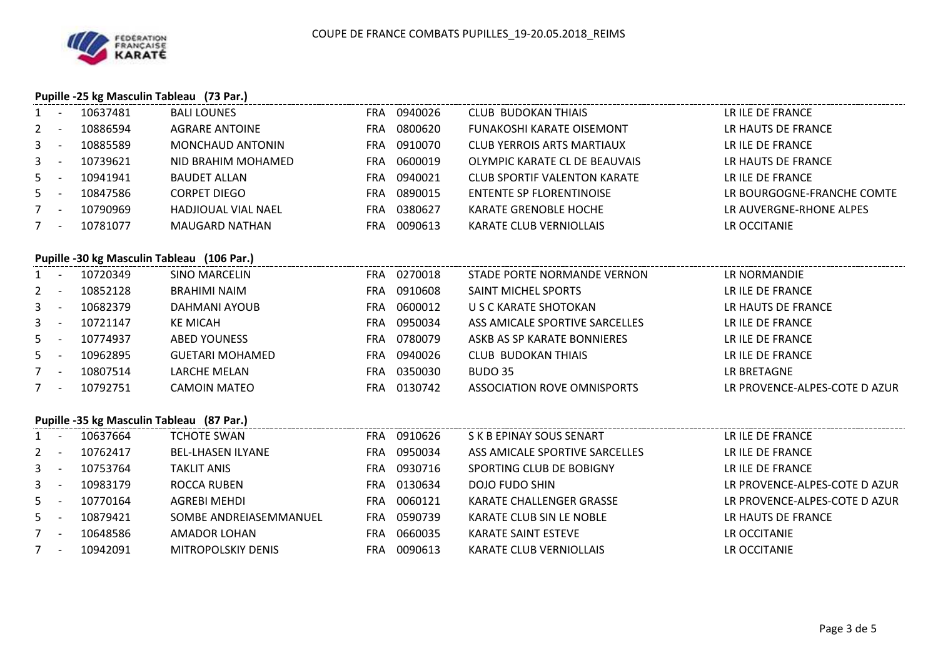## **Pupille -25 kg Masculin Tableau (73 Par.)**

| $1 -$       |                                            | 10637481 | <b>BALI LOUNES</b>         |            | FRA 0940026 | CLUB BUDOKAN THIAIS                 | LR ILE DE FRANCE              |  |  |  |  |
|-------------|--------------------------------------------|----------|----------------------------|------------|-------------|-------------------------------------|-------------------------------|--|--|--|--|
| $2^{\circ}$ | $\sim$                                     | 10886594 | <b>AGRARE ANTOINE</b>      |            | FRA 0800620 | <b>FUNAKOSHI KARATE OISEMONT</b>    | LR HAUTS DE FRANCE            |  |  |  |  |
| 3           | $\overline{\phantom{a}}$                   | 10885589 | <b>MONCHAUD ANTONIN</b>    |            | FRA 0910070 | CLUB YERROIS ARTS MARTIAUX          | LR ILE DE FRANCE              |  |  |  |  |
| $3 - 1$     |                                            | 10739621 | NID BRAHIM MOHAMED         |            | FRA 0600019 | OLYMPIC KARATE CL DE BEAUVAIS       | LR HAUTS DE FRANCE            |  |  |  |  |
| $5 -$       |                                            | 10941941 | <b>BAUDET ALLAN</b>        |            | FRA 0940021 | <b>CLUB SPORTIF VALENTON KARATE</b> | LR ILE DE FRANCE              |  |  |  |  |
| $5 -$       |                                            | 10847586 | <b>CORPET DIEGO</b>        |            | FRA 0890015 | <b>ENTENTE SP FLORENTINOISE</b>     | LR BOURGOGNE-FRANCHE COMTE    |  |  |  |  |
| $7 -$       |                                            | 10790969 | <b>HADJIOUAL VIAL NAEL</b> |            | FRA 0380627 | KARATE GRENOBLE HOCHE               | LR AUVERGNE-RHONE ALPES       |  |  |  |  |
| $7 -$       |                                            | 10781077 | <b>MAUGARD NATHAN</b>      |            | FRA 0090613 | KARATE CLUB VERNIOLLAIS             | LR OCCITANIE                  |  |  |  |  |
|             | Pupille -30 kg Masculin Tableau (106 Par.) |          |                            |            |             |                                     |                               |  |  |  |  |
|             |                                            |          |                            |            |             |                                     |                               |  |  |  |  |
| $1 -$       |                                            | 10720349 | <b>SINO MARCELIN</b>       |            | FRA 0270018 | STADE PORTE NORMANDE VERNON         | LR NORMANDIE                  |  |  |  |  |
| 2           | $\sim$ $-$                                 | 10852128 | <b>BRAHIMI NAIM</b>        |            | FRA 0910608 | SAINT MICHEL SPORTS                 | LR ILE DE FRANCE              |  |  |  |  |
| $3 - 1$     |                                            | 10682379 | DAHMANI AYOUB              |            | FRA 0600012 | U S C KARATE SHOTOKAN               | LR HAUTS DE FRANCE            |  |  |  |  |
| $3 -$       |                                            | 10721147 | <b>KE MICAH</b>            | FRA        | 0950034     | ASS AMICALE SPORTIVE SARCELLES      | LR ILE DE FRANCE              |  |  |  |  |
| $5 -$       |                                            | 10774937 | <b>ABED YOUNESS</b>        | <b>FRA</b> | 0780079     | ASKB AS SP KARATE BONNIERES         | LR ILE DE FRANCE              |  |  |  |  |
| $5 -$       |                                            | 10962895 | <b>GUETARI MOHAMED</b>     |            | FRA 0940026 | <b>CLUB BUDOKAN THIAIS</b>          | LR ILE DE FRANCE              |  |  |  |  |
| $7 -$       |                                            | 10807514 | LARCHE MELAN               |            | FRA 0350030 | BUDO 35                             | LR BRETAGNE                   |  |  |  |  |
| $7 -$       |                                            | 10792751 | CAMOIN MATEO               |            | FRA 0130742 | ASSOCIATION ROVE OMNISPORTS         | LR PROVENCE-ALPES-COTE D AZUR |  |  |  |  |
|             | Pupille -35 kg Masculin Tableau (87 Par.)  |          |                            |            |             |                                     |                               |  |  |  |  |

| $1 -$   |                          | 10637664 | TCHOTE SWAN              | FRA. | 0910626 | S K B EPINAY SOUS SENART       | LR ILE DE FRANCE              |
|---------|--------------------------|----------|--------------------------|------|---------|--------------------------------|-------------------------------|
| $2 -$   |                          | 10762417 | <b>BEL-LHASEN ILYANE</b> | FRA  | 0950034 | ASS AMICALE SPORTIVE SARCELLES | LR ILE DE FRANCE              |
| $3 - 1$ |                          | 10753764 | <b>TAKLIT ANIS</b>       | FRA. | 0930716 | SPORTING CLUB DE BOBIGNY       | LR ILE DE FRANCE              |
| $3 - 1$ |                          | 10983179 | ROCCA RUBEN              | FRA  | 0130634 | <b>DOJO FUDO SHIN</b>          | LR PROVENCE-ALPES-COTE D AZUR |
| $5 -$   |                          | 10770164 | AGREBI MEHDI             | FRA  | 0060121 | KARATE CHALLENGER GRASSE       | LR PROVENCE-ALPES-COTE D AZUR |
| $5 -$   |                          | 10879421 | SOMBE ANDREIASEMMANUEL   | FRA  | 0590739 | KARATE CLUB SIN LE NOBLE       | LR HAUTS DE FRANCE            |
| $7 -$   |                          | 10648586 | AMADOR LOHAN             | FRA  | 0660035 | KARATE SAINT ESTEVE            | LR OCCITANIE                  |
|         | $\overline{\phantom{a}}$ | 10942091 | MITROPOLSKIY DENIS       | FRA  | 0090613 | KARATE CLUB VERNIOLLAIS        | LR OCCITANIE                  |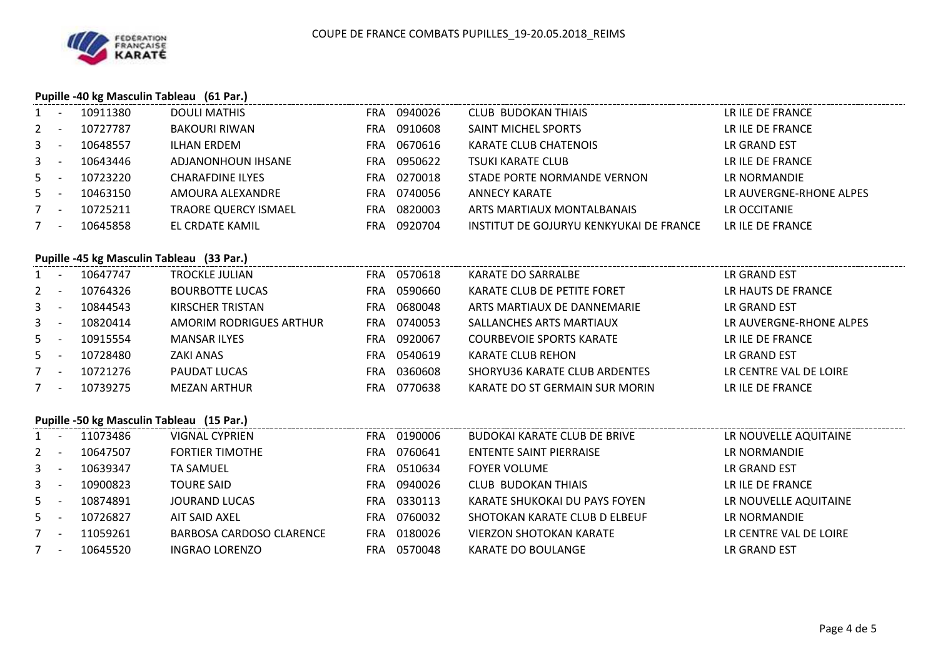## **Pupille -40 kg Masculin Tableau (61 Par.)**

| $1 -$   | 10911380 | DOULI MATHIS                | FRA  | 0940026 | <b>CLUB BUDOKAN THIAIS</b>              | LR ILE DE FRANCE        |
|---------|----------|-----------------------------|------|---------|-----------------------------------------|-------------------------|
| $2 -$   | 10727787 | <b>BAKOURI RIWAN</b>        | FRA  | 0910608 | SAINT MICHEL SPORTS                     | LR ILE DE FRANCE        |
| $3 - 1$ | 10648557 | ILHAN ERDEM                 | FRA  | 0670616 | <b>KARATE CLUB CHATENOIS</b>            | LR GRAND EST            |
| $3 - 5$ | 10643446 | ADJANONHOUN IHSANE          | FRA  | 0950622 | <b>TSUKI KARATE CLUB</b>                | LR ILE DE FRANCE        |
| $5 -$   | 10723220 | <b>CHARAFDINE ILYES</b>     | FRA. | 0270018 | STADE PORTE NORMANDE VERNON             | LR NORMANDIE            |
| $5 -$   | 10463150 | AMOURA ALEXANDRE            | FRA  | 0740056 | ANNECY KARATE                           | LR AUVERGNE-RHONE ALPES |
| $7 -$   | 10725211 | <b>TRAORE QUERCY ISMAEL</b> | FRA  | 0820003 | ARTS MARTIAUX MONTALBANAIS              | LR OCCITANIE            |
| $7 -$   | 10645858 | EL CRDATE KAMIL             | FRA  | 0920704 | INSTITUT DE GOJURYU KENKYUKAI DE FRANCE | LR ILE DE FRANCE        |

# **Pupille -45 kg Masculin Tableau (33 Par.)**

| $1 -$   | 10647747 | <b>TROCKLE JULIAN</b>   | <b>FRA</b> | 0570618 | KARATE DO SARRALBE              | LR GRAND EST            |
|---------|----------|-------------------------|------------|---------|---------------------------------|-------------------------|
| $2 -$   | 10764326 | <b>BOURBOTTE LUCAS</b>  | <b>FRA</b> | 0590660 | KARATE CLUB DE PETITE FORET     | LR HAUTS DE FRANCE      |
| $3 - 1$ | 10844543 | KIRSCHER TRISTAN        | FRA.       | 0680048 | ARTS MARTIAUX DE DANNEMARIE     | LR GRAND EST            |
| $3 - 1$ | 10820414 | AMORIM RODRIGUES ARTHUR | FRA.       | 0740053 | SALLANCHES ARTS MARTIAUX        | LR AUVERGNE-RHONE ALPES |
| $5 -$   | 10915554 | <b>MANSAR ILYES</b>     | <b>FRA</b> | 0920067 | <b>COURBEVOIE SPORTS KARATE</b> | LR ILE DE FRANCE        |
| $5 -$   | 10728480 | <b>ZAKI ANAS</b>        | FRA.       | 0540619 | KARATE CLUB REHON               | LR GRAND EST            |
| $7 -$   | 10721276 | PAUDAT LUCAS            | <b>FRA</b> | 0360608 | SHORYU36 KARATE CLUB ARDENTES   | LR CENTRE VAL DE LOIRE  |
| $7 -$   | 10739275 | <b>MEZAN ARTHUR</b>     | <b>FRA</b> | 0770638 | KARATE DO ST GERMAIN SUR MORIN  | LR ILE DE FRANCE        |
|         |          |                         |            |         |                                 |                         |

### **Pupille -50 kg Masculin Tableau (15 Par.)**

| $1 -$   |                          | 11073486 | VIGNAL CYPRIEN                  | FRA. | 0190006 | BUDOKAI KARATE CLUB DE BRIVE   | LR NOUVELLE AQUITAINE  |
|---------|--------------------------|----------|---------------------------------|------|---------|--------------------------------|------------------------|
| $2 -$   |                          | 10647507 | <b>FORTIER TIMOTHE</b>          | FRA. | 0760641 | <b>ENTENTE SAINT PIERRAISE</b> | LR NORMANDIE           |
| $3 - 1$ |                          | 10639347 | <b>TA SAMUEL</b>                | FRA. | 0510634 | <b>FOYER VOLUME</b>            | LR GRAND EST           |
| $3 -$   |                          | 10900823 | <b>TOURE SAID</b>               | FRA. | 0940026 | <b>CLUB BUDOKAN THIAIS</b>     | LR ILE DE FRANCE       |
| $5 -$   |                          | 10874891 | <b>JOURAND LUCAS</b>            | FRA  | 0330113 | KARATE SHUKOKAI DU PAYS FOYEN  | LR NOUVELLE AQUITAINE  |
| $5 -$   |                          | 10726827 | AIT SAID AXEL                   | FRA. | 0760032 | SHOTOKAN KARATE CLUB D ELBEUF  | LR NORMANDIE           |
|         | $\overline{\phantom{0}}$ | 11059261 | <b>BARBOSA CARDOSO CLARENCE</b> | FRA. | 0180026 | <b>VIERZON SHOTOKAN KARATE</b> | LR CENTRE VAL DE LOIRE |
|         | $\overline{\phantom{0}}$ | 10645520 | <b>INGRAO LORENZO</b>           | FRA  | 0570048 | KARATE DO BOULANGE             | LR GRAND EST           |